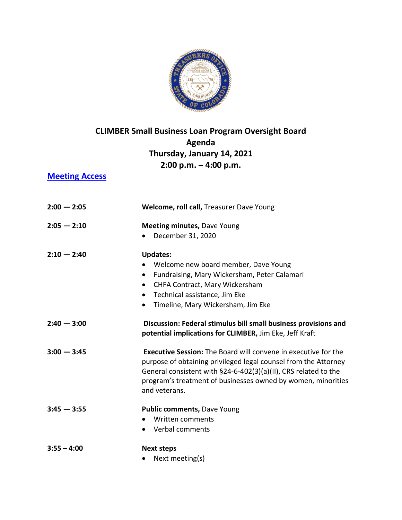

## **CLIMBER Small Business Loan Program Oversight Board Agenda Thursday, January 14, 2021 2:00 p.m. – 4:00 p.m.**

**[Meeting Access](https://zoom.us/j/96056938068?pwd=RCtqOEZuSEQ5TTFkV3EyZFB4c3hWZz09)**

| $2:00 - 2:05$ | Welcome, roll call, Treasurer Dave Young                                                                                                                                                                                                                                                     |
|---------------|----------------------------------------------------------------------------------------------------------------------------------------------------------------------------------------------------------------------------------------------------------------------------------------------|
| $2:05 - 2:10$ | <b>Meeting minutes, Dave Young</b><br>December 31, 2020                                                                                                                                                                                                                                      |
| $2:10 - 2:40$ | <b>Updates:</b><br>Welcome new board member, Dave Young<br>Fundraising, Mary Wickersham, Peter Calamari<br>$\bullet$<br>CHFA Contract, Mary Wickersham<br>$\bullet$<br>Technical assistance, Jim Eke<br>$\bullet$<br>Timeline, Mary Wickersham, Jim Eke<br>$\bullet$                         |
| $2:40 - 3:00$ | Discussion: Federal stimulus bill small business provisions and<br>potential implications for CLIMBER, Jim Eke, Jeff Kraft                                                                                                                                                                   |
| $3:00 - 3:45$ | <b>Executive Session:</b> The Board will convene in executive for the<br>purpose of obtaining privileged legal counsel from the Attorney<br>General consistent with §24-6-402(3)(a)(II), CRS related to the<br>program's treatment of businesses owned by women, minorities<br>and veterans. |
| $3:45 - 3:55$ | Public comments, Dave Young<br>Written comments<br>• Verbal comments                                                                                                                                                                                                                         |
| $3:55 - 4:00$ | <b>Next steps</b><br>Next meeting(s)                                                                                                                                                                                                                                                         |